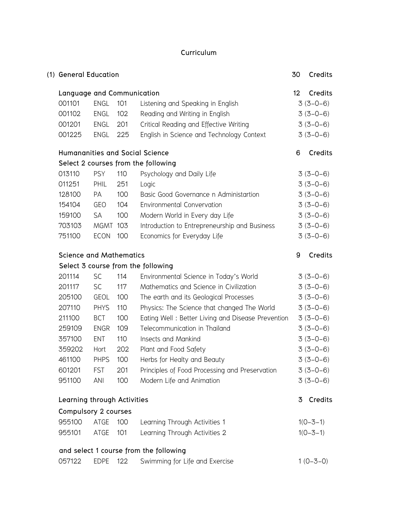### **Curriculum**

| (1) General Education          |             |     |                                                   | 30      | Credits    |
|--------------------------------|-------------|-----|---------------------------------------------------|---------|------------|
| Language and Communication     |             |     |                                                   | $12 \,$ | Credits    |
| 001101                         | <b>ENGL</b> | 101 | Listening and Speaking in English                 |         | $3(3-0-6)$ |
| 001102                         | ENGL        | 102 | Reading and Writing in English                    |         | $3(3-0-6)$ |
| 001201                         | ENGL        | 201 | Critical Reading and Effective Writing            |         | $3(3-0-6)$ |
| 001225                         | ENGL        | 225 | English in Science and Technology Context         |         | $3(3-0-6)$ |
|                                |             |     | <b>Humananities and Social Science</b>            | 6       | Credits    |
|                                |             |     | Select 2 courses from the following               |         |            |
| 013110                         | <b>PSY</b>  | 110 | Psychology and Daily Life                         |         | $3(3-0-6)$ |
| 011251                         | PHIL        | 251 | Logic                                             |         | $3(3-0-6)$ |
| 128100                         | PA          | 100 | Basic Good Governance n Administartion            |         | $3(3-0-6)$ |
| 154104                         | GEO         | 104 | <b>Environmental Convervation</b>                 |         | $3(3-0-6)$ |
| 159100                         | <b>SA</b>   | 100 | Modern World in Every day Life                    |         | $3(3-0-6)$ |
| 703103                         | <b>MGMT</b> | 103 | Introduction to Entrepreneurship and Business     |         | $3(3-0-6)$ |
| 751100                         | <b>ECON</b> | 100 | Economics for Everyday Life                       |         | $3(3-0-6)$ |
| <b>Science and Mathematics</b> |             |     |                                                   | 9       | Credits    |
|                                |             |     | Select 3 course from the following                |         |            |
| 201114                         | <b>SC</b>   | 114 | Environmental Science in Today's World            |         | $3(3-0-6)$ |
| 201117                         | <b>SC</b>   | 117 | Mathematics and Science in Civilization           |         | $3(3-0-6)$ |
| 205100                         | <b>GEOL</b> | 100 | The earth and its Geological Processes            |         | $3(3-0-6)$ |
| 207110                         | <b>PHYS</b> | 110 | Physics: The Science that changed The World       |         | $3(3-0-6)$ |
| 211100                         | <b>BCT</b>  | 100 | Eating Well: Better Living and Disease Prevention |         | $3(3-0-6)$ |
| 259109                         | <b>ENGR</b> | 109 | Telecommunication in Thailand                     |         | $3(3-0-6)$ |
| 357100                         | <b>ENT</b>  | 110 | Insects and Mankind                               |         | $3(3-0-6)$ |
| 359202                         | Hort        | 202 | Plant and Food Safety                             |         | $3(3-0-6)$ |
| 461100                         | <b>PHPS</b> | 100 | Herbs for Healty and Beauty                       |         | $3(3-0-6)$ |
| 601201                         | <b>FST</b>  | 201 | Principles of Food Processing and Preservation    |         | $3(3-0-6)$ |
| 951100                         | <b>ANI</b>  | 100 | Modern Life and Animation                         |         | $3(3-0-6)$ |
| Learning through Activities    |             |     |                                                   | 3       | Credits    |
| Compulsory 2 courses           |             |     |                                                   |         |            |
| 955100                         | ATGE        | 100 | Learning Through Activities 1                     |         | $1(0-3-1)$ |
| 955101                         | ATGE        | 101 | Learning Through Activities 2                     |         | $1(0-3-1)$ |
|                                |             |     | and select 1 course from the following            |         |            |
| 057122                         | <b>EDPE</b> | 122 | Swimming for Life and Exercise                    |         | $1(0-3-0)$ |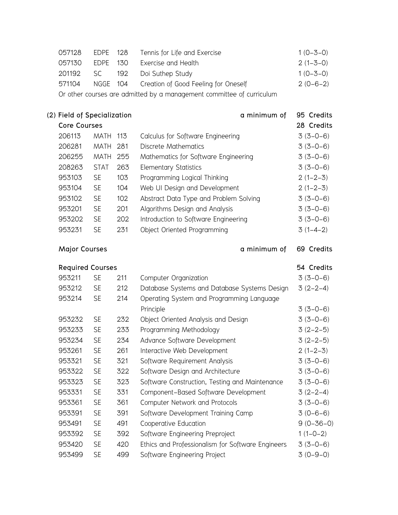| 057128                                                                | EDPE 128 |     | Tennis for Life and Exercise                  | $1(0-3-0)$     |
|-----------------------------------------------------------------------|----------|-----|-----------------------------------------------|----------------|
| 057130                                                                | EDPE 130 |     | Exercise and Health                           | $2(1 - 3 - 0)$ |
| 201192                                                                | SC .     | 192 | Doi Suthep Study                              | $1(0 - 3 - 0)$ |
| 571104                                                                |          |     | NGGE 104 Creation of Good Feeling for Oneself | $2(0-6-2)$     |
| Or other courses are admitted by a management committee of curriculum |          |     |                                               |                |

**(2) Field of Specialization a minimum of 95 Credits Core Courses 28 Credits** 206113 MATH 113 Calculus for Software Engineering 3 (3-0-6) 206281 MATH 281 Discrete Mathematics 3 (3-0-6) 206255 MATH 255 Mathematics for Software Engineering 3 (3-0-6) 208263 STAT 263 Elementary Statistics 3 (3-0-6) 953103 SE 103 Programming Logical Thinking 2(1-2-3) 953104 SE 104 Web UI Design and Development 2 (1-2-3) 953102 SE 102 Abstract Data Type and Problem Solving 3 (3-0-6) 953201 SE 201 Algorithms Design and Analysis 3 (3-0-6) 953202 SE 202 Introduction to Software Engineering 3 (3-0-6) 953231 SE 231 Object Oriented Programming 3 (1-4-2)

**Major Courses a minimum of 69 Credits**

|        | <b>Required Courses</b> |     |                                                   | 54 Credits      |
|--------|-------------------------|-----|---------------------------------------------------|-----------------|
| 953211 | <b>SE</b>               | 211 | Computer Organization                             | $3(3-0-6)$      |
| 953212 | <b>SE</b>               | 212 | Database Systems and Database Systems Design      | $3(2-2-4)$      |
| 953214 | <b>SE</b>               | 214 | Operating System and Programming Language         |                 |
|        |                         |     | Principle                                         | $3(3-0-6)$      |
| 953232 | <b>SE</b>               | 232 | Object Oriented Analysis and Design               | $3(3-0-6)$      |
| 953233 | <b>SE</b>               | 233 | Programming Methodology                           | $3(2-2-5)$      |
| 953234 | <b>SE</b>               | 234 | Advance Software Development                      | $3(2-2-5)$      |
| 953261 | <b>SE</b>               | 261 | Interactive Web Development                       | $2(1-2-3)$      |
| 953321 | <b>SE</b>               | 321 | Software Requirement Analysis                     | $3(3-0-6)$      |
| 953322 | <b>SE</b>               | 322 | Software Design and Architecture                  | $3(3-0-6)$      |
| 953323 | <b>SE</b>               | 323 | Software Construction, Testing and Maintenance    | $3(3-0-6)$      |
| 953331 | <b>SE</b>               | 331 | Component-Based Software Development              | $3(2-2-4)$      |
| 953361 | <b>SE</b>               | 361 | Computer Network and Protocols                    | $3(3-0-6)$      |
| 953391 | <b>SE</b>               | 391 | Software Development Training Camp                | $3(0-6-6)$      |
| 953491 | <b>SE</b>               | 491 | Cooperative Education                             | $9(0 - 36 - 0)$ |
| 953392 | <b>SE</b>               | 392 | Software Engineering Preproject                   | $1(1-0-2)$      |
| 953420 | <b>SE</b>               | 420 | Ethics and Professionalism for Software Engineers | $3(3-0-6)$      |
| 953499 | <b>SE</b>               | 499 | Software Engineering Project                      | $3(0-9-0)$      |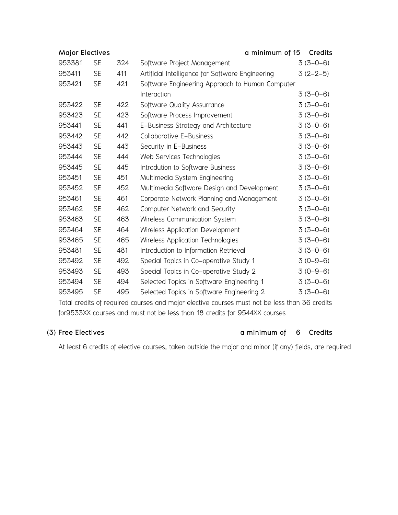| <b>Major Electives</b> |     | a minimum of 15                                  | Credits    |
|------------------------|-----|--------------------------------------------------|------------|
| 953381<br><b>SE</b>    | 324 | Software Project Management                      | $3(3-0-6)$ |
| <b>SE</b><br>953411    | 411 | Artificial Intelligence for Software Engineering | $3(2-2-5)$ |
| <b>SE</b><br>953421    | 421 | Software Engineering Approach to Human Computer  |            |
|                        |     | Interaction                                      | $3(3-0-6)$ |
| <b>SE</b><br>953422    | 422 | Software Quality Assurrance                      | $3(3-0-6)$ |
| 953423<br><b>SE</b>    | 423 | Software Process Improvement                     | $3(3-0-6)$ |
| 953441<br><b>SE</b>    | 441 | E-Business Strategy and Architecture             | $3(3-0-6)$ |
| 953442<br><b>SE</b>    | 442 | <b>Collaborative E-Business</b>                  | $3(3-0-6)$ |
| 953443<br><b>SE</b>    | 443 | Security in E-Business                           | $3(3-0-6)$ |
| 953444<br><b>SE</b>    | 444 | Web Services Technologies                        | $3(3-0-6)$ |
| <b>SE</b><br>953445    | 445 | Introdution to Software Business                 | $3(3-0-6)$ |
| 953451<br><b>SE</b>    | 451 | Multimedia System Engineering                    | $3(3-0-6)$ |
| <b>SE</b><br>953452    | 452 | Multimedia Software Design and Development       | $3(3-0-6)$ |
| 953461<br><b>SE</b>    | 461 | Corporate Network Planning and Management        | $3(3-0-6)$ |
| 953462<br><b>SE</b>    | 462 | Computer Network and Security                    | $3(3-0-6)$ |
| <b>SE</b><br>953463    | 463 | Wireless Communication System                    | $3(3-0-6)$ |
| <b>SE</b><br>953464    | 464 | Wireless Application Development                 | $3(3-0-6)$ |
| <b>SE</b><br>953465    | 465 | Wireless Application Technologies                | $3(3-0-6)$ |
| 953481<br><b>SE</b>    | 481 | Introduction to Information Retrieval            | $3(3-0-6)$ |
| 953492<br><b>SE</b>    | 492 | Special Topics in Co-operative Study 1           | $3(0-9-6)$ |
| 953493<br><b>SE</b>    | 493 | Special Topics in Co-operative Study 2           | $3(0-9-6)$ |
| <b>SE</b><br>953494    | 494 | Selected Topics in Software Engineering 1        | $3(3-0-6)$ |
| 953495<br><b>SE</b>    | 495 | Selected Topics in Software Engineering 2        | $3(3-0-6)$ |

Total credits of required courses and major elective courses must not be less than 36 credits for9533XX courses and must not be less than 18 credits for 9544XX courses

### **(3) Free Electives a minimum of 6 Credits**

At least 6 credits of elective courses, taken outside the major and minor (if any) fields, are required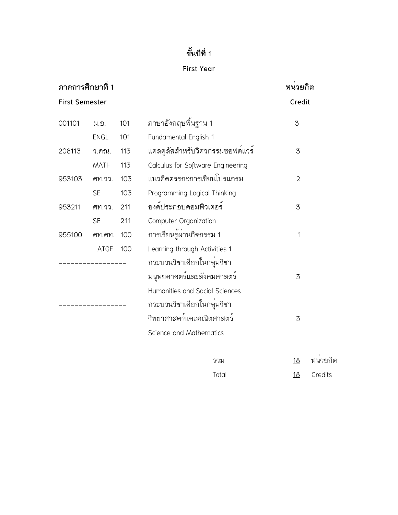## **First Year**

| ภาคการศึกษาที่ 1 |                       | หนวยกิต |                                   |              |         |
|------------------|-----------------------|---------|-----------------------------------|--------------|---------|
|                  | <b>First Semester</b> |         |                                   |              | Credit  |
| 001101           | ม.อ.                  | 101     | ิภาษาอังกฤษพื้นฐาน 1              | 3            |         |
|                  | ENGL                  | 101     | Fundamental English 1             |              |         |
| 206113           | ว.คณ.                 | 113     | แคลคูลัสสำหรับวิศวกรรมซอฟต์แวร์   | 3            |         |
|                  | MATH                  | 113     | Calculus for Software Engineering |              |         |
| 953103           | M.77.                 | 103     | แนวคิดตรรกะการเขียนโปรแกรม        | $\mathbf{2}$ |         |
|                  | <b>SE</b>             | 103     | Programming Logical Thinking      |              |         |
| 953211           | M.77.                 | 211     | องค์ประกอบคอมพิวเตอร์             | 3            |         |
|                  | <b>SE</b>             | 211     | Computer Organization             |              |         |
| 955100           | $M$ . $M$             | 100     | การเรียนรู้ผ่านกิจกรรม 1          | $\mathbf 1$  |         |
|                  | ATGE                  | 100     | Learning through Activities 1     |              |         |
|                  |                       |         | กระบวนวิชาเลือกในกลุ่มวิชา        |              |         |
|                  |                       |         | มนุษยศาสตร์และสังคมศาสตร์         | 3            |         |
|                  |                       |         | Humanities and Social Sciences    |              |         |
|                  |                       |         | กระบวนวิชาเลือกในกลุ่มวิชา        |              |         |
|                  |                       |         | วิทยาศาสตร์และคณิตศาสตร์          | 3            |         |
|                  |                       |         | Science and Mathematics           |              |         |
|                  |                       |         | รวม                               | <u>18</u>    | หนวยกิต |
|                  |                       |         | Total                             | 18           | Credits |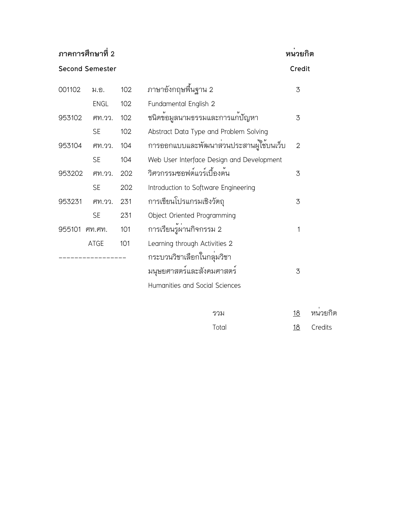## **ภาคการศึกษาที่2 หน่วยกิต**

**Second Semester Credit**

| 001102 | ม.อ.        | 102 | ภาษาอังกฤษพื้นฐาน 2                          | 3              |
|--------|-------------|-----|----------------------------------------------|----------------|
|        | <b>ENGL</b> | 102 | Fundamental English 2                        |                |
| 953102 | M.77.       | 102 | ชนิดข้อมูลนามธรรมและการแก <sup>้</sup> ปัญหา | 3              |
|        | <b>SE</b>   | 102 | Abstract Data Type and Problem Solving       |                |
| 953104 | M.77.       | 104 | การออกแบบและพัฒนาส่วนประสานผู้ใช้บนเว็บ      | $\overline{2}$ |
|        | <b>SE</b>   | 104 | Web User Interface Design and Development    |                |
| 953202 | M.77.       | 202 | วิศวกรรมซอฟต์แวร์เบื้องต้น                   | 3              |
|        | <b>SE</b>   | 202 | Introduction to Software Engineering         |                |
| 953231 | M.77.       | 231 | การเขียนโปรแกรมเชิงวัตถุ                     | 3              |
|        | <b>SE</b>   | 231 | Object Oriented Programming                  |                |
| 955101 | $M$ . $M$   | 101 | การเรียนรู้ผานกิจกรรม 2                      | 1              |
|        | ATGE        | 101 | Learning through Activities 2                |                |
|        |             |     | กระบวนวิชาเลือกในกลุ่มวิชา                   |                |
|        |             |     | มนุษยศาสตร์และสังคมศาสตร์                    | 3              |
|        |             |     | Humanities and Social Sciences               |                |
|        |             |     |                                              |                |

| รวม   | 18 | หนวยกิต |
|-------|----|---------|
| Total | 18 | Credits |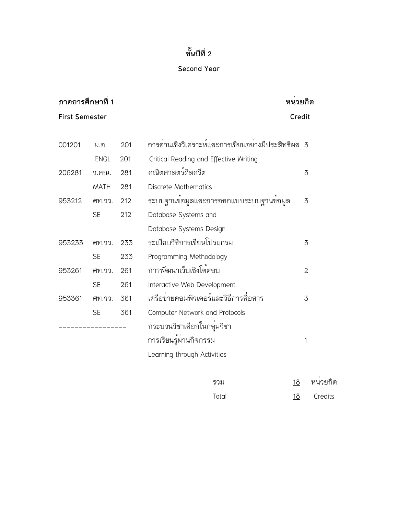## **Second Year**

| ิภาคการศึกษาที่ 1<br>หนวยกิต |             |     |                                                    |                |
|------------------------------|-------------|-----|----------------------------------------------------|----------------|
| <b>First Semester</b>        |             |     | Credit                                             |                |
|                              |             |     |                                                    |                |
| 001201                       | ม.อ.        | 201 | การอ่านเชิงวิเคราะห์และการเขียนอย่างมีประสิทธิผล 3 |                |
|                              | <b>ENGL</b> | 201 | Critical Reading and Effective Writing             |                |
| 206281                       | ว.คณ.       | 281 | คณิตศาสตร์ดิสครีต                                  | 3              |
|                              | <b>MATH</b> | 281 | <b>Discrete Mathematics</b>                        |                |
| 953212                       | M.77.       | 212 | ระบบฐานขอมูลและการออกแบบระบบฐานขอมูล               | 3              |
|                              | <b>SE</b>   | 212 | Database Systems and                               |                |
|                              |             |     | Database Systems Design                            |                |
| 953233                       | M.77.       | 233 | ระเบียบวิธีการเขียนโปรแกรม                         | 3              |
|                              | <b>SE</b>   | 233 | Programming Methodology                            |                |
| 953261                       | ศท.วว.      | 261 | การพัฒนาเว็บเชิงโต้ตอบ                             | $\overline{2}$ |
|                              | <b>SE</b>   | 261 | Interactive Web Development                        |                |
| 953361                       | ศท.วว.      | 361 | เครือข่ายคอมพิวเตอร์และวิธีการสื่อสาร              | 3              |
|                              | <b>SE</b>   | 361 | Computer Network and Protocols                     |                |
|                              |             |     | กระบวนวิชาเลือกในกลุ <sup>่</sup> มวิชา            |                |
|                              |             |     | การเรียนรู้ผ่านกิจกรรม                             | 1              |
|                              |             |     | Learning through Activities                        |                |
|                              |             |     |                                                    |                |

| รวม   | 18 | หนวยกิต |  |  |
|-------|----|---------|--|--|
| Total | 18 | Credits |  |  |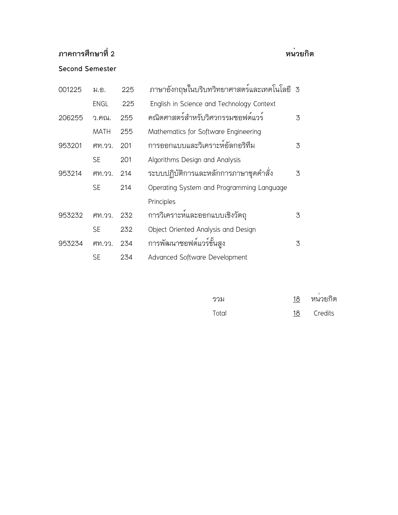## **ภาคการศึกษาที่ 2 หน่วยกิต**

## **Second Semester**

| 001225 | ม.อ.        | 225 | ภาษาอังกฤษในบริบทวิทยาศาสตร์และเทคโนโลยี 3 |   |
|--------|-------------|-----|--------------------------------------------|---|
|        | <b>ENGL</b> | 225 | English in Science and Technology Context  |   |
| 206255 | ว.คณ.       | 255 | คณิตศาสตร์สำหรับวิศวกรรมซอฟต์แวร์          | 3 |
|        | <b>MATH</b> | 255 | Mathematics for Software Engineering       |   |
| 953201 | ศท.วว.      | 201 | การออกแบบและวิเคราะห์อัลกอริทึม            | 3 |
|        | <b>SE</b>   | 201 | Algorithms Design and Analysis             |   |
| 953214 | ศท.วว.      | 214 | ระบบปฏิบัติการและหลักการภาษาชุดคำสั่ง      | 3 |
|        | <b>SE</b>   | 214 | Operating System and Programming Language  |   |
|        |             |     | Principles                                 |   |
| 953232 | ศท.วว.      | 232 | การวิเคราะห์และออกแบบเชิงวัตถุ             | 3 |
|        | <b>SE</b>   | 232 | Object Oriented Analysis and Design        |   |
| 953234 | M.77.       | 234 | การพัฒนาซอฟต์แวร์ขั้นสูง                   | 3 |
|        | SE          | 234 | Advanced Software Development              |   |

| รวม   | 18 | หนวยกิต |
|-------|----|---------|
| Total | 18 | Credits |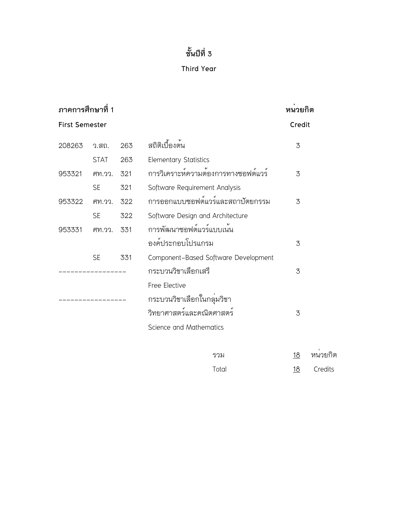## **Third Year**

| ภาคการศึกษาที่ 1 |                       |     |                                      | หนวยกิต   |         |
|------------------|-----------------------|-----|--------------------------------------|-----------|---------|
|                  | <b>First Semester</b> |     |                                      | Credit    |         |
| 208263           | ว.สถ.                 | 263 | สถิติเบื้องต <sup>้</sup> น          | 3         |         |
|                  | <b>STAT</b>           | 263 | <b>Elementary Statistics</b>         |           |         |
| 953321           | M.33.                 | 321 | การวิเคราะห์ความต้องการทางซอฟต์แวร์  | 3         |         |
|                  | <b>SE</b>             | 321 | Software Requirement Analysis        |           |         |
| 953322           | ศท.วว.                | 322 | การออกแบบซอฟต์แวร์และสถาปัตยกรรม     | 3         |         |
|                  | <b>SE</b>             | 322 | Software Design and Architecture     |           |         |
| 953331           | M.33.                 | 331 | การพัฒนาซอฟต์แวร์แบบเน้น             |           |         |
|                  |                       |     | องค์ประกอบโปรแกรม                    | 3         |         |
|                  | <b>SE</b>             | 331 | Component-Based Software Development |           |         |
|                  |                       |     | กระบวนวิชาเลือกเสรี                  | 3         |         |
|                  |                       |     | Free Elective                        |           |         |
|                  |                       |     | กระบวนวิชาเลือกในกลุ่มวิชา           |           |         |
|                  |                       |     | วิทยาศาสตร์และคณิตศาสตร์             | 3         |         |
|                  |                       |     | Science and Mathematics              |           |         |
|                  |                       |     | รวม                                  | <u>18</u> | หนวยกิต |
|                  |                       |     |                                      |           |         |

Total 18 Credits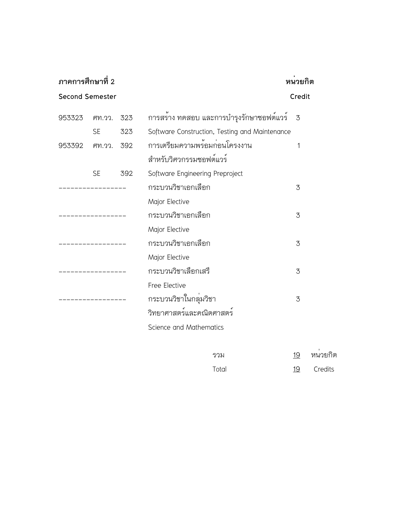| ภาคการศึกษาที่ 2       | หนวยกิต<br>Credit |     |                                                |    |         |
|------------------------|-------------------|-----|------------------------------------------------|----|---------|
| <b>Second Semester</b> |                   |     |                                                |    |         |
| 953323                 | M.77.             | 323 | การสราง ทดสอบ และการบำรุงรักษาซอฟต์แวร์        | 3  |         |
|                        | <b>SE</b>         | 323 | Software Construction, Testing and Maintenance |    |         |
| 953392                 | ศท.วว. 392        |     | การเตรียมความพร้อมก่อนโครงงาน                  | 1  |         |
|                        |                   |     | สำหรับวิศวกรรมซอฟต์แวร์                        |    |         |
|                        | <b>SE</b>         | 392 | Software Engineering Preproject                |    |         |
|                        |                   |     | กระบวนวิชาเอกเลือก                             | 3  |         |
|                        |                   |     | Major Elective                                 |    |         |
|                        |                   |     | กระบวนวิชาเอกเลือก                             | 3  |         |
|                        |                   |     | Major Elective                                 |    |         |
|                        |                   |     | กระบวนวิชาเอกเลือก                             | 3  |         |
|                        |                   |     | Major Elective                                 |    |         |
|                        |                   |     | กระบวนวิชาเลือกเสรี                            | 3  |         |
|                        |                   |     | Free Elective                                  |    |         |
|                        |                   |     | กระบวนวิชาในกลุ่มวิชา                          | 3  |         |
|                        |                   |     | วิทยาศาสตร์และคณิตศาสตร์                       |    |         |
|                        |                   |     | Science and Mathematics                        |    |         |
|                        |                   |     | รวม                                            | 19 | หนวยกิต |
|                        |                   |     |                                                |    |         |

Total 19 Credits